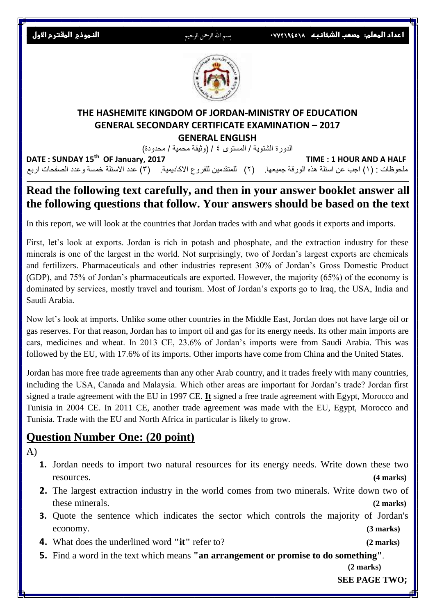**اعداد المعلم: مصعب الشخانبه**<sup>1449027708</sup> بسم اهلل الرمحن الرحيم **النموذج المقترح االول**



#### **THE HASHEMITE KINGDOM OF JORDAN-MINISTRY OF EDUCATION GENERAL SECONDARY CERTIFICATE EXAMINATION – 2017 GENERAL ENGLISH**

الدورة الشتوية / المستوى ٤ / (وثيقة محمية / محدودة)

**DATE : SUNDAY 15th TIME : 1 HOUR AND A HALF** ملحوظات : (١) اجب عن اسئلة هذه الورقة جميعها. (٢) للمتقدمين للفروع الاكاديمية. (٣) عدد الاسئلة خمسة وعدد الصفحات اربع

## **Read the following text carefully, and then in your answer booklet answer all the following questions that follow. Your answers should be based on the text.**

In this report, we will look at the countries that Jordan trades with and what goods it exports and imports.

First, let's look at exports. Jordan is rich in potash and phosphate, and the extraction industry for these minerals is one of the largest in the world. Not surprisingly, two of Jordan's largest exports are chemicals and fertilizers. Pharmaceuticals and other industries represent 30% of Jordan's Gross Domestic Product (GDP), and 75% of Jordan's pharmaceuticals are exported. However, the majority (65%) of the economy is dominated by services, mostly travel and tourism. Most of Jordan's exports go to Iraq, the USA, India and Saudi Arabia.

Now let's look at imports. Unlike some other countries in the Middle East, Jordan does not have large oil or gas reserves. For that reason, Jordan has to import oil and gas for its energy needs. Its other main imports are cars, medicines and wheat. In 2013 CE, 23.6% of Jordan's imports were from Saudi Arabia. This was followed by the EU, with 17.6% of its imports. Other imports have come from China and the United States.

Jordan has more free trade agreements than any other Arab country, and it trades freely with many countries, including the USA, Canada and Malaysia. Which other areas are important for Jordan's trade? Jordan first signed a trade agreement with the EU in 1997 CE. **It** signed a free trade agreement with Egypt, Morocco and Tunisia in 2004 CE. In 2011 CE, another trade agreement was made with the EU, Egypt, Morocco and Tunisia. Trade with the EU and North Africa in particular is likely to grow.

## **Question Number One: (20 point)**

A)

- **1.** Jordan needs to import two natural resources for its energy needs. Write down these two resources. **(4 marks)**
- **2.** The largest extraction industry in the world comes from two minerals. Write down two of these minerals. **(2 marks)**
- **3.** Quote the sentence which indicates the sector which controls the majority of Jordan's economy. **(3 marks)**
- **4.** What does the underlined word **"it"** refer to? **(2 marks)**
- **5.** Find a word in the text which means **"an arrangement or promise to do something"**.

 **(2 marks)**

 **SEE PAGE TWO;**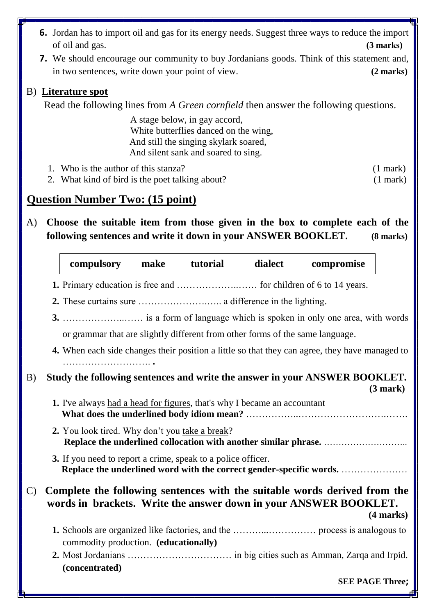- **6.** Jordan has to import oil and gas for its energy needs. Suggest three ways to reduce the import of oil and gas. **(3 marks)**
- **7.** We should encourage our community to buy Jordanians goods. Think of this statement and, in two sentences, write down your point of view. **(2 marks)**

#### B) **Literature spot**

Read the following lines from *A Green cornfield* then answer the following questions.

 A stage below, in gay accord, White butterflies danced on the wing, And still the singing skylark soared, And silent sank and soared to sing.

1. Who is the author of this stanza? (1 mark)

2. What kind of bird is the poet talking about? (1 mark)

## **Question Number Two: (15 point)**

A) **Choose the suitable item from those given in the box to complete each of the following sentences and write it down in your ANSWER BOOKLET. (8 marks)**

|              | compulsory                                                                                                                                                         | make | tutorial | dialect | compromise                                                                                                                                                   |  |  |
|--------------|--------------------------------------------------------------------------------------------------------------------------------------------------------------------|------|----------|---------|--------------------------------------------------------------------------------------------------------------------------------------------------------------|--|--|
|              |                                                                                                                                                                    |      |          |         |                                                                                                                                                              |  |  |
| B)           |                                                                                                                                                                    |      |          |         |                                                                                                                                                              |  |  |
|              |                                                                                                                                                                    |      |          |         |                                                                                                                                                              |  |  |
|              | or grammar that are slightly different from other forms of the same language.                                                                                      |      |          |         |                                                                                                                                                              |  |  |
|              | 4. When each side changes their position a little so that they can agree, they have managed to                                                                     |      |          |         |                                                                                                                                                              |  |  |
|              | Study the following sentences and write the answer in your ANSWER BOOKLET.<br>(3 mark)<br>1. I've always had a head for figures, that's why I became an accountant |      |          |         |                                                                                                                                                              |  |  |
|              |                                                                                                                                                                    |      |          |         |                                                                                                                                                              |  |  |
|              | 2. You look tired. Why don't you take a break?                                                                                                                     |      |          |         |                                                                                                                                                              |  |  |
|              | 3. If you need to report a crime, speak to a police officer.                                                                                                       |      |          |         | Replace the underlined word with the correct gender-specific words.                                                                                          |  |  |
| $\mathbf{C}$ |                                                                                                                                                                    |      |          |         | Complete the following sentences with the suitable words derived from the<br>words in brackets. Write the answer down in your ANSWER BOOKLET.<br>$(4$ marks) |  |  |
|              | commodity production. (educationally)                                                                                                                              |      |          |         |                                                                                                                                                              |  |  |
|              | (concentrated)                                                                                                                                                     |      |          |         |                                                                                                                                                              |  |  |
|              |                                                                                                                                                                    |      |          |         | <b>SEE PAGE Three:</b>                                                                                                                                       |  |  |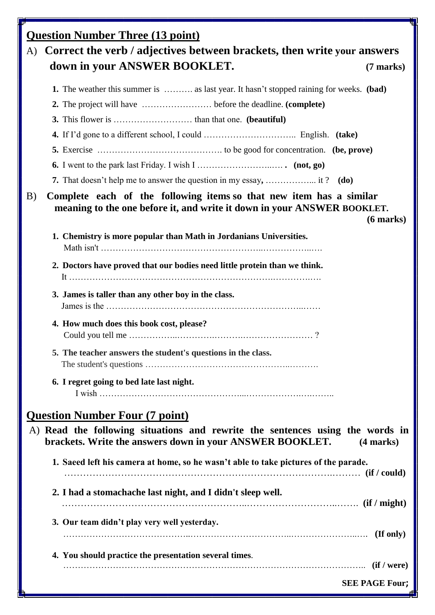| F  | <b>Question Number Three (13 point)</b>                                                                                                                          |  |  |  |  |  |
|----|------------------------------------------------------------------------------------------------------------------------------------------------------------------|--|--|--|--|--|
| A) | Correct the verb / adjectives between brackets, then write your answers                                                                                          |  |  |  |  |  |
|    | down in your ANSWER BOOKLET.<br>$(7$ marks)                                                                                                                      |  |  |  |  |  |
|    | <b>1.</b> The weather this summer is  as last year. It hasn't stopped raining for weeks. (bad)                                                                   |  |  |  |  |  |
|    |                                                                                                                                                                  |  |  |  |  |  |
|    |                                                                                                                                                                  |  |  |  |  |  |
|    |                                                                                                                                                                  |  |  |  |  |  |
|    |                                                                                                                                                                  |  |  |  |  |  |
|    |                                                                                                                                                                  |  |  |  |  |  |
|    |                                                                                                                                                                  |  |  |  |  |  |
|    | 7. That doesn't help me to answer the question in my essay,  it? (do)                                                                                            |  |  |  |  |  |
| B) | Complete each of the following items so that new item has a similar<br>meaning to the one before it, and write it down in your ANSWER BOOKLET.<br>$(6$ marks $)$ |  |  |  |  |  |
|    | 1. Chemistry is more popular than Math in Jordanians Universities.                                                                                               |  |  |  |  |  |
|    | 2. Doctors have proved that our bodies need little protein than we think.                                                                                        |  |  |  |  |  |
|    | 3. James is taller than any other boy in the class.                                                                                                              |  |  |  |  |  |
|    | 4. How much does this book cost, please?                                                                                                                         |  |  |  |  |  |
|    | 5. The teacher answers the student's questions in the class.                                                                                                     |  |  |  |  |  |
|    | 6. I regret going to bed late last night.                                                                                                                        |  |  |  |  |  |
|    | <b>Question Number Four (7 point)</b>                                                                                                                            |  |  |  |  |  |
|    | A) Read the following situations and rewrite the sentences using the words in<br>brackets. Write the answers down in your ANSWER BOOKLET.<br>$(4$ marks)         |  |  |  |  |  |
|    | 1. Saeed left his camera at home, so he wasn't able to take pictures of the parade.<br>(if / could) (if / could)                                                 |  |  |  |  |  |
|    | 2. I had a stomachache last night, and I didn't sleep well.                                                                                                      |  |  |  |  |  |
|    | 3. Our team didn't play very well yesterday.                                                                                                                     |  |  |  |  |  |
|    | 4. You should practice the presentation several times.                                                                                                           |  |  |  |  |  |
|    |                                                                                                                                                                  |  |  |  |  |  |
|    | <b>SEE PAGE Four;</b>                                                                                                                                            |  |  |  |  |  |